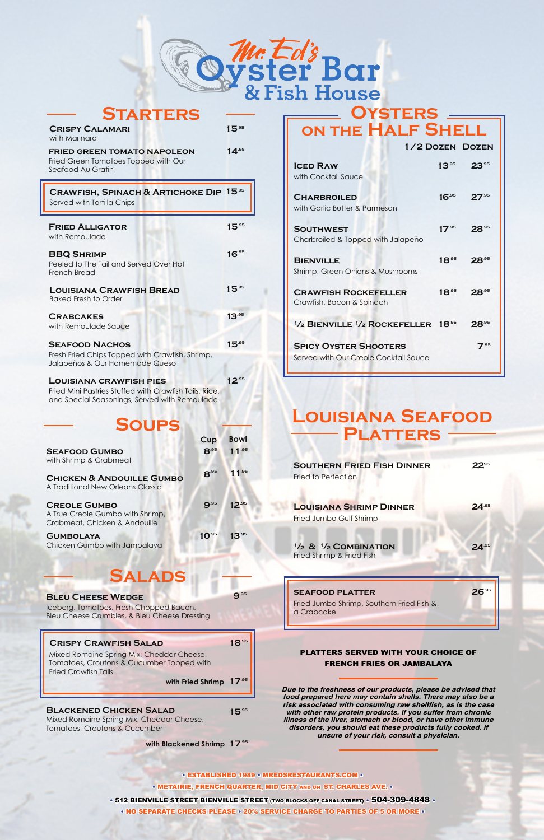## **Platters LOUISIANA SEAFOOD**

# **Salads**

### **BLEU CHEESE WEDGE 9.95**

Iceberg, Tomatoes, Fresh Chopped Bacon, Bleu Cheese Crumbles, & Bleu Cheese Dressing

Mixed Romaine Spring Mix, Cheddar Cheese, Tomatoes, Croutons & Cucumber Topped with Fried Crawfish Tails

Mixed Romaine Spring Mix, Cheddar Cheese, Tomatoes, Croutons & Cucumber

**with Fried Shrimp 17.95**

### **BLACKENED CHICKEN SALAD 15.95**

**17.95 with Blackened Shrimp**

| <b>SEAFOOD GUMBO</b>                                                                                | 8.95       | $11^{.95}$ |                                                       |
|-----------------------------------------------------------------------------------------------------|------------|------------|-------------------------------------------------------|
| with Shrimp & Crabmeat<br><b>CHICKEN &amp; ANDOUILLE GUMBO</b><br>A Traditional New Orleans Classic | $8^{.95}$  | $11^{.95}$ | <b>SOUTHERN FRIED F</b><br><b>Fried to Perfection</b> |
| <b>CREOLE GUMBO</b><br>A True Creole Gumbo with Shrimp,<br>Crabmeat, Chicken & Andouille            | 9.95       | $12^{.95}$ | <b>LOUISIANA SHRIMP</b><br>Fried Jumbo Gulf Shrimp    |
| <b>GUMBOLAYA</b><br>Chicken Gumbo with Jambalaya                                                    | $10^{.95}$ | $13^{.95}$ | $\frac{1}{2}$ & $\frac{1}{2}$ COMBINAT                |

| Fried to Perfection<br><b>LOUISIANA SHRIMP DINNER</b>                  |  |
|------------------------------------------------------------------------|--|
| Fried Jumbo Gulf Shrimp                                                |  |
| $\frac{1}{2}$ & $\frac{1}{2}$ COMBINATION<br>Fried Shrimp & Fried Fish |  |
| <b>SEAFOOD PLATTER</b>                                                 |  |



| <b>STARTERS</b>                                                                                                                                           |            |
|-----------------------------------------------------------------------------------------------------------------------------------------------------------|------------|
| <b>CRISPY CALAMARI</b><br>with Marinara                                                                                                                   | $15^{.95}$ |
| <b>FRIED GREEN TOMATO NAPOLEON</b><br>Fried Green Tomatoes Topped with Our<br>Seafood Au Gratin                                                           | 14.95      |
| <b>CRAWFISH, SPINACH &amp; ARTICHOKE DIP</b><br>Served with Tortilla Chips                                                                                | $15^{.95}$ |
| <b>FRIED ALLIGATOR</b><br>with Remoulade                                                                                                                  | $15^{.95}$ |
| <b>BBQ SHRIMP</b><br>Peeled to The Tail and Served Over Hot<br><b>French Bread</b>                                                                        | $16^{95}$  |
| <b>LOUISIANA CRAWFISH BREAD</b><br><b>Baked Fresh to Order</b>                                                                                            | $15^{.95}$ |
| <b>CRABCAKES</b><br>with Remoulade Sauce                                                                                                                  | $13^{.95}$ |
| <b>SEAFOOD NACHOS</b><br>Fresh Fried Chips Topped with Crawfish, Shrimp,<br>Jalapeños & Our Homemade Queso                                                | $15^{.95}$ |
| <b>LOUISIANA CRAWFISH PIES</b><br>Fried Mini Pastries Stuffed with Crawfish Tails, Rice,<br>and Special Seasonings, Served with Remoulade<br><b>SOUPS</b> | $12^{.95}$ |
| Cup                                                                                                                                                       | Bowl       |

Fried Jumbo Shrimp, Southern Fried Fish & a Crabcake

### **CRISPY CRAWFISH SALAD 18.95**

#### PLATTERS SERVED WITH YOUR CHOICE OF FRENCH FRIES OR JAMBALAYA

• ESTABLISHED 1989 • MREDSRESTAURANTS.COM • • METAIRIE, FRENCH QUARTER, MID CITY AND ON ST. CHARLES AVE. •

 $\cdot$  512 BIENVILLE STREET BIENVILLE STREET (TWO BLOCKS OFF CANAL STREET)  $\cdot$  504-309-4848  $\cdot$ 

*Due to the freshness of our products, please be advised that food prepared here may contain shells. There may also be a with other raw protein products. If you suffer from chronic illness of the liver, stomach or blood, or have other immune disorders, you should eat these products fully cooked. If unsure of your risk, consult a physician.*

• NO SEPARATE CHECKS PLEASE • 20% SERVICE CHARGE TO PARTIES OF 5 OR MORE •

### **Oysters on the Half Shell**

|                                                                               |            | 1/2 DOZEN DOZEN |
|-------------------------------------------------------------------------------|------------|-----------------|
| <b>ICED RAW</b><br>with Cocktail Sauce                                        | $13^{95}$  | $23^{.95}$      |
| <b>CHARBROILED</b>                                                            | $16^{.95}$ | $27^{.95}$      |
| with Garlic Butter & Parmesan                                                 |            |                 |
| <b>SOUTHWEST</b><br>Charbroiled & Topped with Jalapeño                        | $17^{.95}$ | $28^{.95}$      |
| <b>BIENVILLE</b><br>Shrimp, Green Onions & Mushrooms                          | $18^{.95}$ | $28^{.95}$      |
| <b>CRAWFISH ROCKEFELLER</b><br>Crawfish, Bacon & Spinach                      | $18^{.95}$ | $28^{.95}$      |
| <sup>1</sup> / <sub>2</sub> BIENVILLE <sup>1</sup> / <sub>2</sub> ROCKEFELLER | $18^{.95}$ | $28^{.95}$      |
| <b>SPICY OYSTER SHOOTERS</b><br>Served with Our Creole Cocktail Sauce         |            | 7.95            |